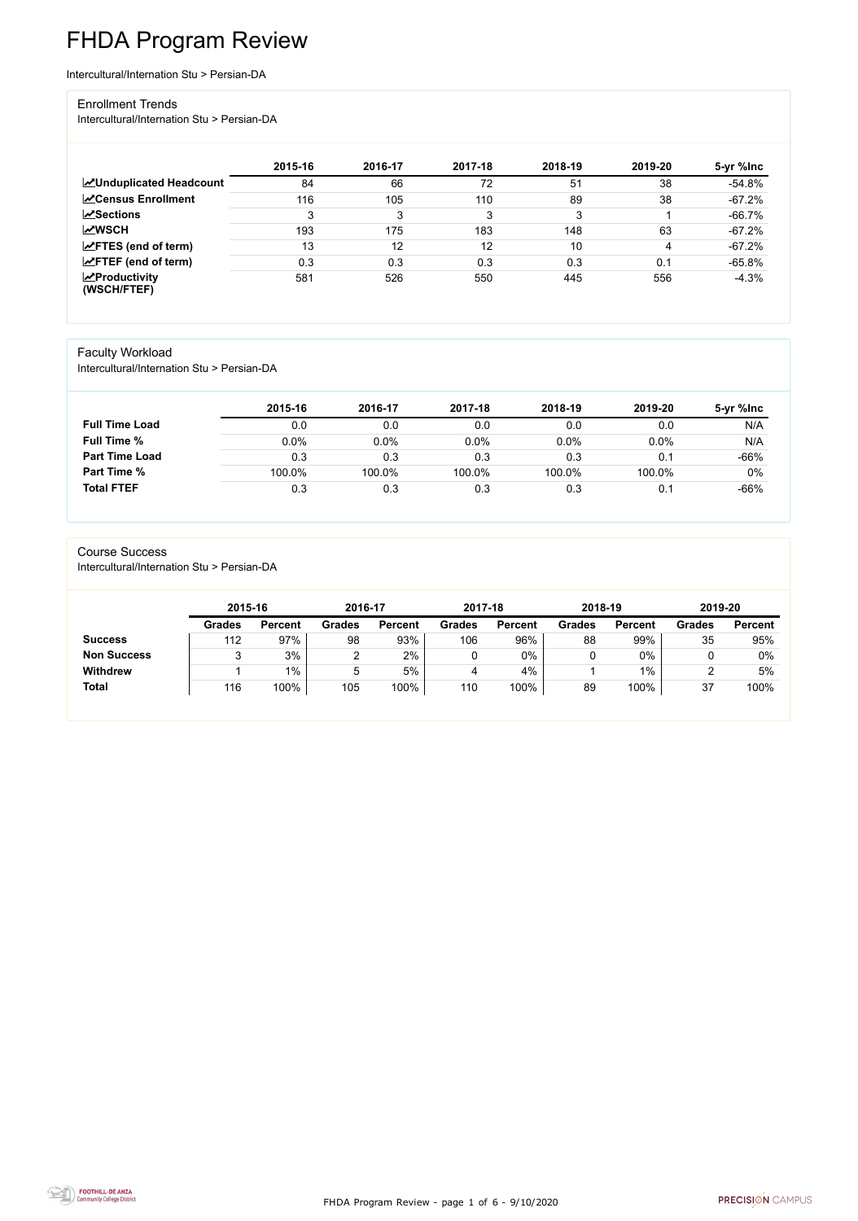FHDA Program Review - page 1 of 6 - 9/10/2020



# FHDA Program Review

Intercultural/Internation Stu > Persian-DA

#### Enrollment Trends

Intercultural/Internation Stu > Persian-DA

|                                                  | 2015-16 | 2016-17 | 2017-18 | 2018-19 | 2019-20 | 5-yr %lnc |
|--------------------------------------------------|---------|---------|---------|---------|---------|-----------|
| <b>ZUnduplicated Headcount</b>                   | 84      | 66      | 72      | 51      | 38      | $-54.8%$  |
| <b>ZCensus Enrollment</b>                        | 116     | 105     | 110     | 89      | 38      | $-67.2%$  |
| <b>∠ Sections</b>                                | 3       | 3       | 3       | 3       |         | $-66.7%$  |
| <b>MWSCH</b>                                     | 193     | 175     | 183     | 148     | 63      | $-67.2%$  |
| $\angle$ FTES (end of term)                      | 13      | 12      | 12      | 10      | 4       | $-67.2%$  |
| $\angle$ FTEF (end of term)                      | 0.3     | 0.3     | 0.3     | 0.3     | 0.1     | $-65.8%$  |
| $\sqrt{\frac{1}{2}}$ Productivity<br>(WSCH/FTEF) | 581     | 526     | 550     | 445     | 556     | $-4.3%$   |

### Faculty Workload

Intercultural/Internation Stu > Persian-DA

|                       | 2015-16 | 2016-17 | 2017-18 | 2018-19 | 2019-20 | 5-yr %Inc |
|-----------------------|---------|---------|---------|---------|---------|-----------|
| <b>Full Time Load</b> | 0.0     | 0.0     | 0.0     | 0.0     | 0.0     | N/A       |
| <b>Full Time %</b>    | 0.0%    | 0.0%    | 0.0%    | 0.0%    | 0.0%    | N/A       |
| <b>Part Time Load</b> | 0.3     | 0.3     | 0.3     | 0.3     | 0.1     | $-66%$    |
| <b>Part Time %</b>    | 100.0%  | 100.0%  | 100.0%  | 100.0%  | 100.0%  | $0\%$     |
| <b>Total FTEF</b>     | 0.3     | 0.3     | 0.3     | 0.3     | 0.1     | $-66%$    |

#### Course Success

Intercultural/Internation Stu > Persian-DA

|                    | 2015-16       |                | 2016-17       |                | 2017-18       |                | 2018-19       |                | 2019-20       |                |
|--------------------|---------------|----------------|---------------|----------------|---------------|----------------|---------------|----------------|---------------|----------------|
|                    | <b>Grades</b> | <b>Percent</b> | <b>Grades</b> | <b>Percent</b> | <b>Grades</b> | <b>Percent</b> | <b>Grades</b> | <b>Percent</b> | <b>Grades</b> | <b>Percent</b> |
| <b>Success</b>     | 112           | 97%            | 98            | 93%            | 106           | 96%            | 88            | 99%            | 35            | 95%            |
| <b>Non Success</b> |               | 3%             |               | 2%             |               | $0\%$          |               | 0%             |               | 0%             |
| <b>Withdrew</b>    |               | $1\%$          | 5             | 5%             |               | 4%             |               | $1\%$          |               | 5%             |
| <b>Total</b>       | 116           | 100%           | 105           | 100%           | 110           | 100%           | 89            | 100%           | 37            | 100%           |

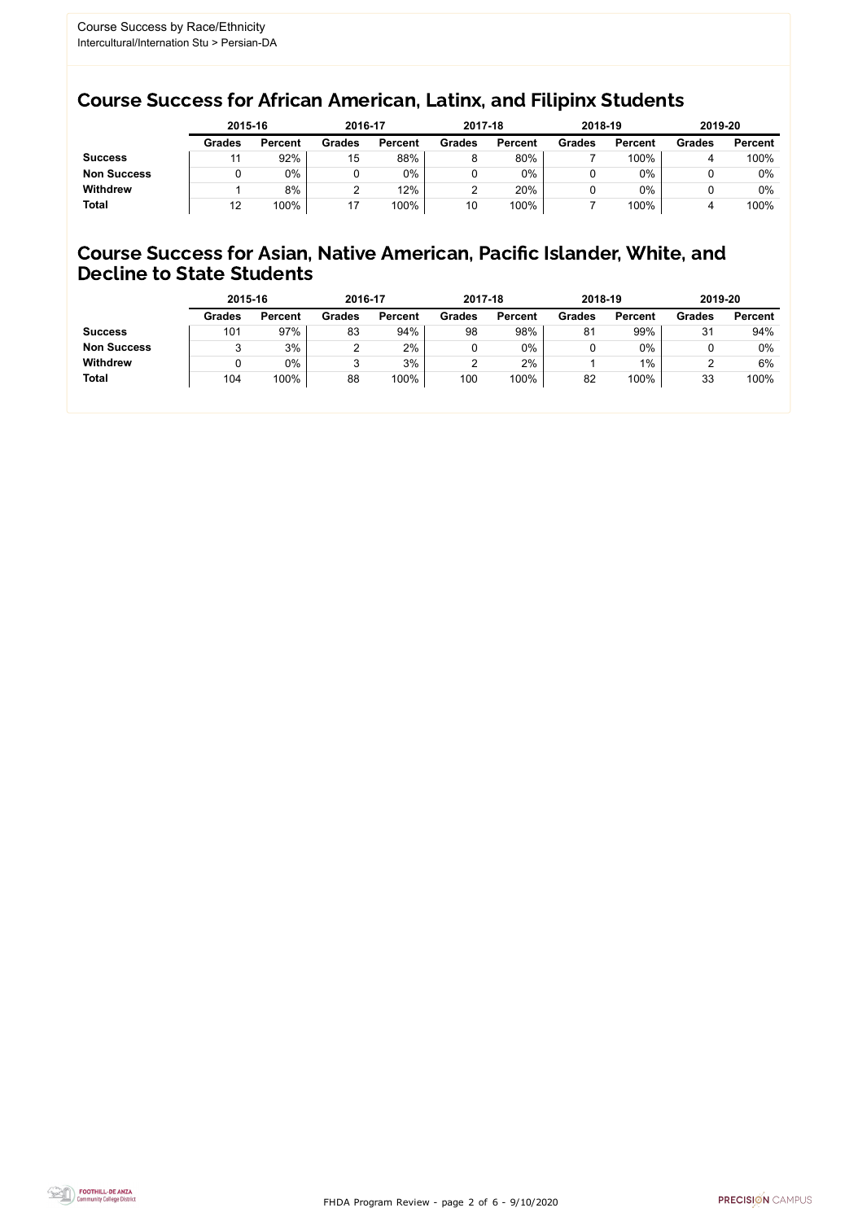FHDA Program Review - page 2 of 6 - 9/10/2020



## Course Success for African American, Latinx, and Filipinx Students

## Course Success for Asian, Native American, Pacific Islander, White, and Decline to State Students

|                    | 2015-16       |                | 2016-17       |                | 2017-18       |                | 2018-19       |                | 2019-20       |                |
|--------------------|---------------|----------------|---------------|----------------|---------------|----------------|---------------|----------------|---------------|----------------|
|                    | <b>Grades</b> | <b>Percent</b> | <b>Grades</b> | <b>Percent</b> | <b>Grades</b> | <b>Percent</b> | <b>Grades</b> | <b>Percent</b> | <b>Grades</b> | <b>Percent</b> |
| <b>Success</b>     |               | 92%            | 15            | 88%            | 8             | 80%            |               | 100%           |               | 100%           |
| <b>Non Success</b> |               | $0\%$          |               | $0\%$          |               | 0%             |               | 0%             |               | 0%             |
| <b>Withdrew</b>    |               | 8%             |               | 12%            |               | 20%            |               | 0%             |               | 0%             |
| <b>Total</b>       | 12            | 100%           |               | 100%           | 10            | 100%           |               | 100%           |               | 100%           |

|                    | 2015-16       |                | 2016-17       |                | 2017-18       |                | 2018-19       |                | 2019-20       |                |
|--------------------|---------------|----------------|---------------|----------------|---------------|----------------|---------------|----------------|---------------|----------------|
|                    | <b>Grades</b> | <b>Percent</b> | <b>Grades</b> | <b>Percent</b> | <b>Grades</b> | <b>Percent</b> | <b>Grades</b> | <b>Percent</b> | <b>Grades</b> | <b>Percent</b> |
| <b>Success</b>     | 101           | 97%            | 83            | 94%            | 98            | 98%            | 81            | 99%            | 31            | 94%            |
| <b>Non Success</b> |               | 3%             |               | 2%             |               | $0\%$          |               | 0%             |               | $0\%$          |
| <b>Withdrew</b>    |               | $0\%$          |               | 3%             |               | 2%             |               | $1\%$          |               | 6%             |
| <b>Total</b>       | 104           | 100%           | 88            | 100%           | 100           | 100%           | 82            | 100%           | 33            | 100%           |
|                    |               |                |               |                |               |                |               |                |               |                |

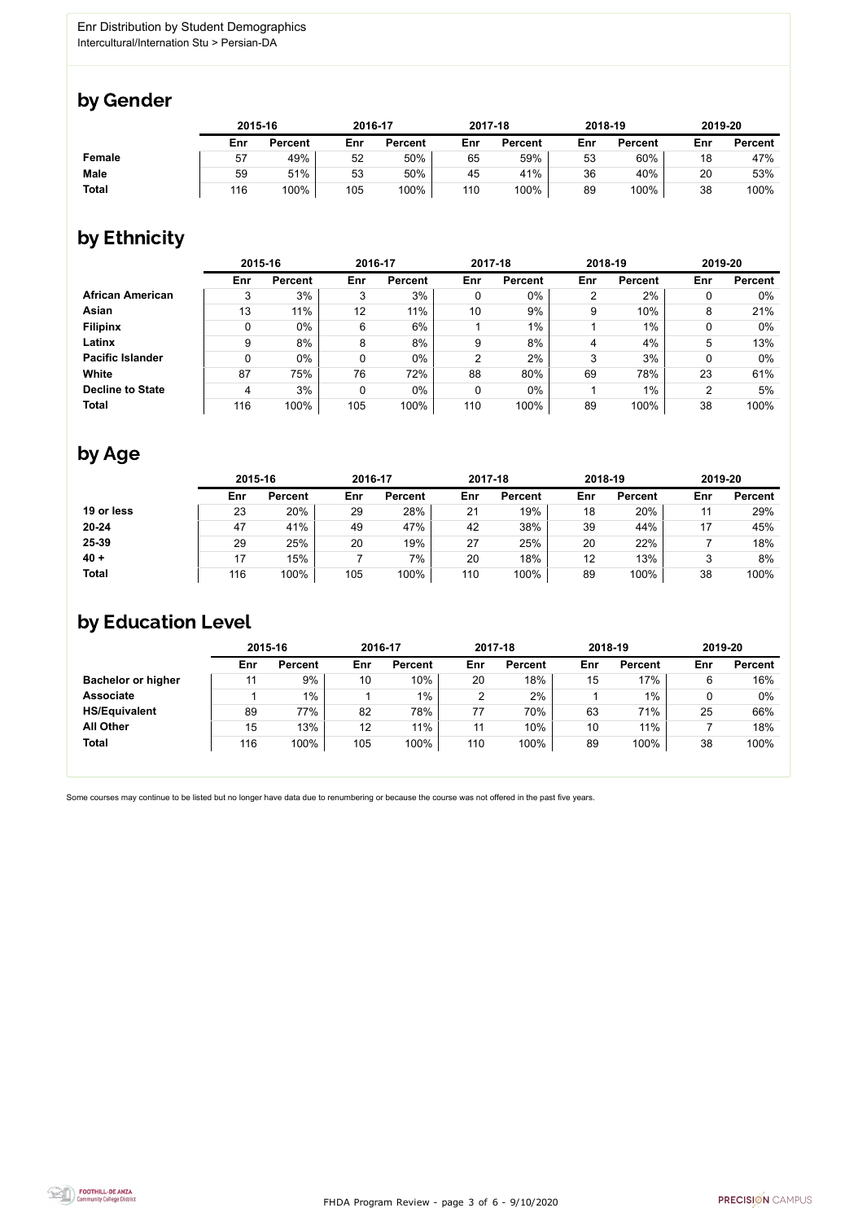FHDA Program Review - page 3 of 6 - 9/10/2020



Some courses may continue to be listed but no longer have data due to renumbering or because the course was not offered in the past five years.



## by Gender

|               | 2015-16 |                |     | 2016-17        |     | 2017-18        |     | 2018-19        |     | 2019-20        |  |
|---------------|---------|----------------|-----|----------------|-----|----------------|-----|----------------|-----|----------------|--|
|               | Enr     | <b>Percent</b> | Enr | <b>Percent</b> | Enr | <b>Percent</b> | Enr | <b>Percent</b> | Enr | <b>Percent</b> |  |
| <b>Female</b> | 57      | 49%            | 52  | 50%            | 65  | 59%            | 53  | 60%            | 18  | 47%            |  |
| <b>Male</b>   | 59      | 51%            | 53  | 50%            | 45  | 41%            | 36  | 40%            | 20  | 53%            |  |
| <b>Total</b>  | 116     | 100%           | 105 | 100%           | 110 | 100%           | 89  | 100%           | 38  | 100%           |  |

## by Ethnicity

|                         |     | 2015-16        |     | 2016-17        |     | 2017-18        | 2018-19        |                | 2019-20 |                |
|-------------------------|-----|----------------|-----|----------------|-----|----------------|----------------|----------------|---------|----------------|
|                         | Enr | <b>Percent</b> | Enr | <b>Percent</b> | Enr | <b>Percent</b> | Enr            | <b>Percent</b> | Enr     | <b>Percent</b> |
| <b>African American</b> | 3   | 3%             | 3   | 3%             | 0   | $0\%$          | $\overline{2}$ | 2%             |         | $0\%$          |
| Asian                   | 13  | 11%            | 12  | 11%            | 10  | 9%             | 9              | 10%            | 8       | 21%            |
| <b>Filipinx</b>         | 0   | $0\%$          | 6   | 6%             |     | $1\%$          |                | $1\%$          |         | $0\%$          |
| Latinx                  | 9   | 8%             | 8   | 8%             | 9   | 8%             | 4              | 4%             | 5       | 13%            |
| <b>Pacific Islander</b> | 0   | $0\%$          | 0   | $0\%$          | 2   | 2%             | 3              | 3%             |         | $0\%$          |
| White                   | 87  | 75%            | 76  | 72%            | 88  | 80%            | 69             | 78%            | 23      | 61%            |
| <b>Decline to State</b> | 4   | 3%             | 0   | $0\%$          | 0   | $0\%$          |                | $1\%$          | ◠       | 5%             |
| <b>Total</b>            | 116 | 100%           | 105 | 100%           | 110 | 100%           | 89             | 100%           | 38      | 100%           |

## by Age

|              | 2015-16 |                |     | 2016-17        |     | 2017-18        | 2018-19 |                | 2019-20 |                |
|--------------|---------|----------------|-----|----------------|-----|----------------|---------|----------------|---------|----------------|
|              | Enr     | <b>Percent</b> | Enr | <b>Percent</b> | Enr | <b>Percent</b> | Enr     | <b>Percent</b> | Enr     | <b>Percent</b> |
| 19 or less   | 23      | 20%            | 29  | 28%            | 21  | 19%            | 18      | 20%            |         | 29%            |
| $20 - 24$    | 47      | 41%            | 49  | 47%            | 42  | 38%            | 39      | 44%            | 17      | 45%            |
| 25-39        | 29      | 25%            | 20  | 19%            | 27  | 25%            | 20      | 22%            |         | 18%            |
| $40 +$       |         | 15%            |     | 7%             | 20  | 18%            | 12      | 13%            |         | 8%             |
| <b>Total</b> | 116     | 100%           | 105 | 100%           | 110 | 100%           | 89      | 100%           | 38      | 100%           |

## by Education Level

|                           | 2015-16 |                |     | 2016-17        |     | 2017-18        | 2018-19 |                | 2019-20 |                |
|---------------------------|---------|----------------|-----|----------------|-----|----------------|---------|----------------|---------|----------------|
|                           | Enr     | <b>Percent</b> | Enr | <b>Percent</b> | Enr | <b>Percent</b> | Enr     | <b>Percent</b> | Enr     | <b>Percent</b> |
| <b>Bachelor or higher</b> | 11      | 9%             | 10  | 10%            | 20  | 18%            | 15      | 17%            | 6       | 16%            |
| <b>Associate</b>          |         | $1\%$          |     | 1%             | ◠   | 2%             |         | $1\%$          | 0       | 0%             |
| <b>HS/Equivalent</b>      | 89      | 77%            | 82  | 78%            | 77  | 70%            | 63      | 71%            | 25      | 66%            |
| <b>All Other</b>          | 15      | 13%            | 12  | 11%            |     | 10%            | 10      | 11%            |         | 18%            |
| <b>Total</b>              | 116     | 100%           | 105 | 100%           | 110 | 100%           | 89      | 100%           | 38      | 100%           |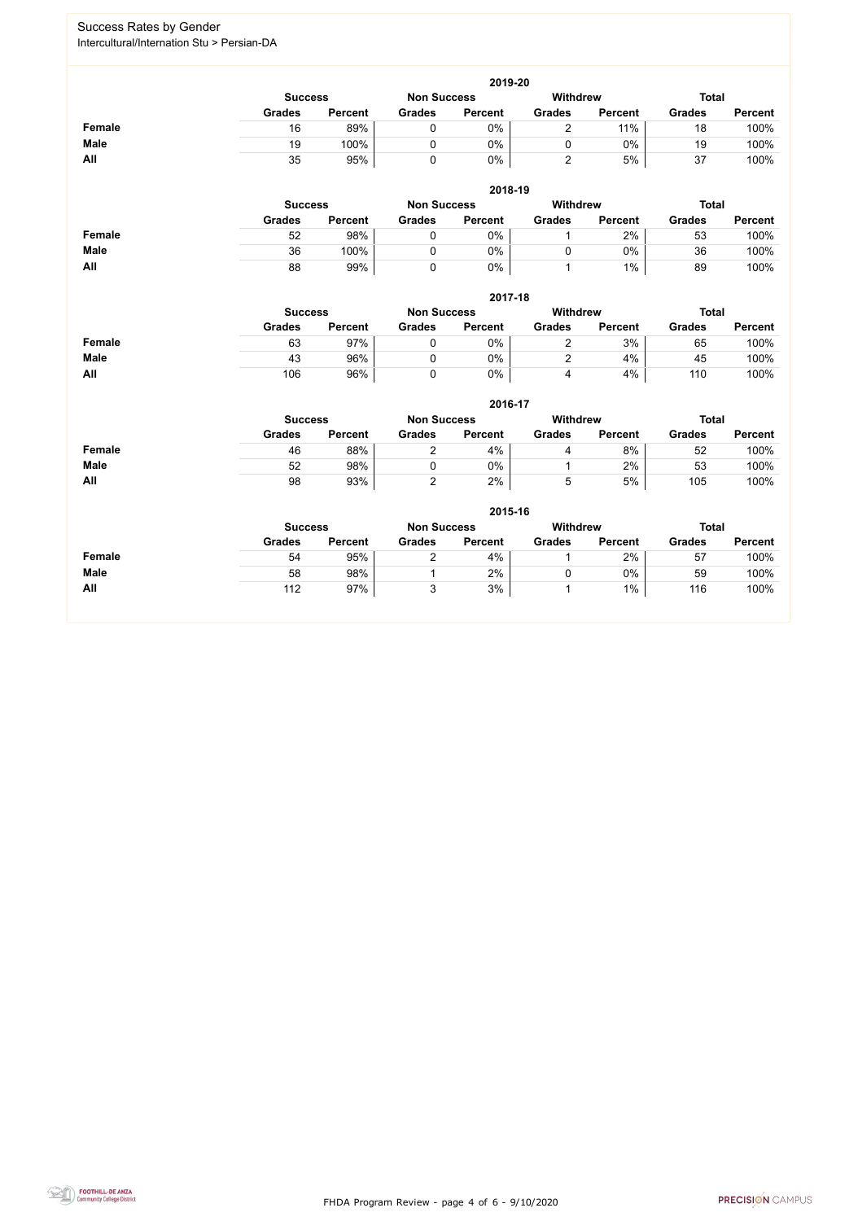FHDA Program Review - page 4 of 6 - 9/10/2020



### Success Rates by Gender Intercultural/Internation Stu > Persian-DA

|               |                |                |                    | 2019-20        |                 |                |               |                |
|---------------|----------------|----------------|--------------------|----------------|-----------------|----------------|---------------|----------------|
|               | <b>Success</b> |                | <b>Non Success</b> |                | <b>Withdrew</b> |                | <b>Total</b>  |                |
|               | <b>Grades</b>  | <b>Percent</b> | <b>Grades</b>      | <b>Percent</b> | <b>Grades</b>   | <b>Percent</b> | <b>Grades</b> | <b>Percent</b> |
| <b>Female</b> | 16             | 89%            | $\mathbf 0$        | 0%             | $\overline{2}$  | 11%            | 18            | 100%           |
| <b>Male</b>   | 19             | 100%           | $\mathbf 0$        | 0%             | $\mathbf 0$     | 0%             | 19            | 100%           |
| All           | 35             | 95%            | $\mathbf 0$        | $0\%$          | $\overline{2}$  | 5%             | 37            | 100%           |
|               |                |                |                    | 2018-19        |                 |                |               |                |
|               | <b>Success</b> |                | <b>Non Success</b> |                | <b>Withdrew</b> |                | <b>Total</b>  |                |
|               | <b>Grades</b>  | <b>Percent</b> | <b>Grades</b>      | <b>Percent</b> | <b>Grades</b>   | <b>Percent</b> | <b>Grades</b> | <b>Percent</b> |
| <b>Female</b> | 52             | 98%            | $\mathbf 0$        | 0%             | 1               | 2%             | 53            | 100%           |
| <b>Male</b>   | 36             | 100%           | $\mathbf 0$        | 0%             | $\mathbf 0$     | $0\%$          | 36            | 100%           |
| All           | 88             | 99%            | $\mathbf 0$        | 0%             | $\mathbf{1}$    | $1\%$          | 89            | 100%           |
|               |                |                |                    | 2017-18        |                 |                |               |                |
|               | <b>Success</b> |                | <b>Non Success</b> |                | <b>Withdrew</b> |                | <b>Total</b>  |                |
|               | <b>Grades</b>  | <b>Percent</b> | <b>Grades</b>      | <b>Percent</b> | <b>Grades</b>   | <b>Percent</b> | <b>Grades</b> | <b>Percent</b> |
| <b>Female</b> | 63             | 97%            | $\mathbf 0$        | 0%             | $\overline{2}$  | 3%             | 65            | 100%           |
| <b>Male</b>   | 43             | 96%            | $\mathbf 0$        | 0%             | $\overline{2}$  | 4%             | 45            | 100%           |
| All           | 106            | 96%            | $\mathbf 0$        | 0%             | 4               | 4%             | 110           | 100%           |
|               |                |                |                    | 2016-17        |                 |                |               |                |
|               | <b>Success</b> |                | <b>Non Success</b> |                | <b>Withdrew</b> |                | <b>Total</b>  |                |
|               | <b>Grades</b>  | <b>Percent</b> | <b>Grades</b>      | <b>Percent</b> | <b>Grades</b>   | <b>Percent</b> | <b>Grades</b> | <b>Percent</b> |
| <b>Female</b> | 46             | 88%            | $\overline{2}$     | 4%             | 4               | 8%             | 52            | 100%           |
| <b>Male</b>   | 52             | 98%            | $\mathbf 0$        | 0%             | 1               | 2%             | 53            | 100%           |
| All           | 98             | 93%            | $\overline{2}$     | 2%             | 5               | 5%             | 105           | 100%           |
|               |                |                |                    | 2015-16        |                 |                |               |                |
|               | <b>Success</b> |                | <b>Non Success</b> |                | <b>Withdrew</b> |                | <b>Total</b>  |                |
|               | <b>Grades</b>  | <b>Percent</b> | <b>Grades</b>      | <b>Percent</b> | <b>Grades</b>   | <b>Percent</b> | <b>Grades</b> | <b>Percent</b> |
| <b>Female</b> | 54             | 95%            | $\overline{2}$     | 4%             | $\mathbf{1}$    | 2%             | 57            | 100%           |
| <b>Male</b>   | 58             | 98%            |                    | 2%             | $\pmb{0}$       | 0%             | 59            | 100%           |
| All           | 112            | 97%            | 3                  | 3%             | 1               | $1\%$          | 116           | 100%           |

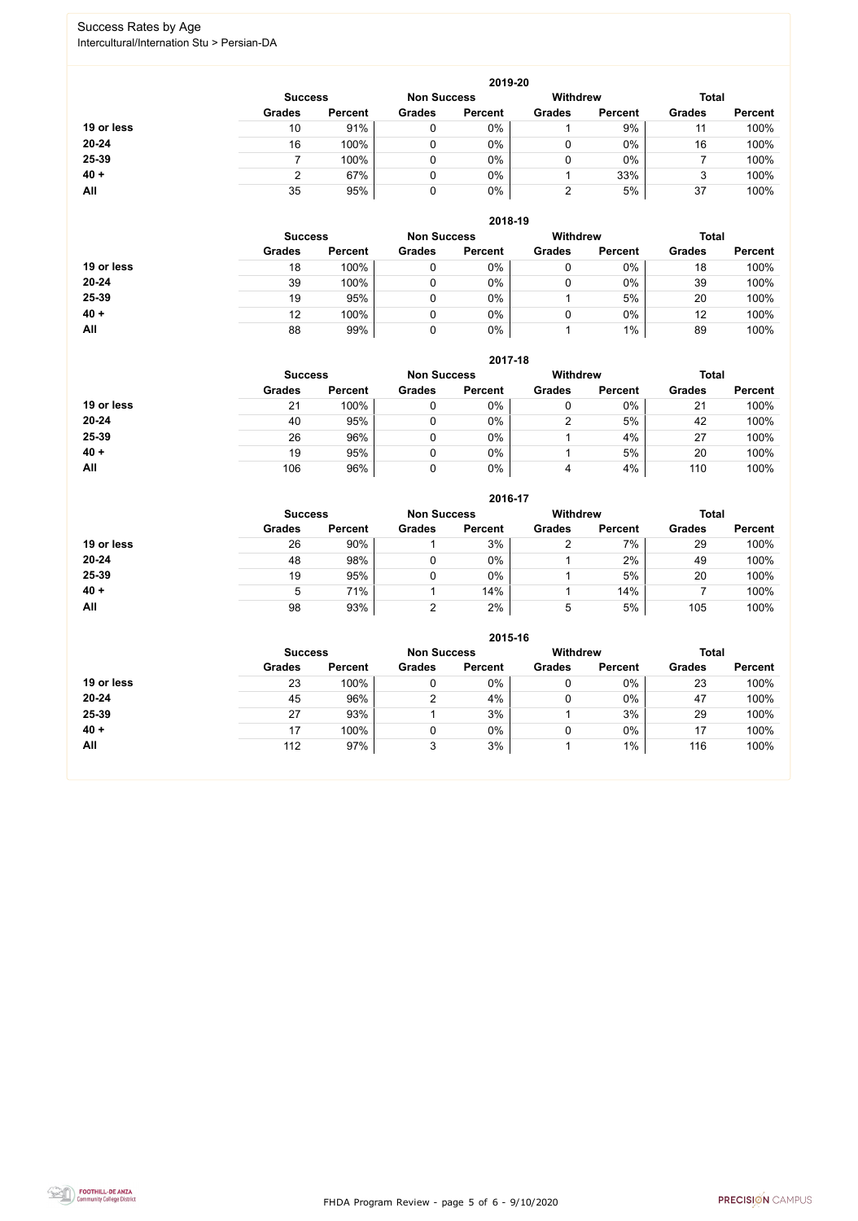FHDA Program Review - page 5 of 6 - 9/10/2020



### Success Rates by Age Intercultural/Internation Stu > Persian-DA

|            |                |                |                    | 2019-20        |                 |                |               |                |
|------------|----------------|----------------|--------------------|----------------|-----------------|----------------|---------------|----------------|
|            | <b>Success</b> |                | <b>Non Success</b> |                | <b>Withdrew</b> |                | <b>Total</b>  |                |
|            | <b>Grades</b>  | <b>Percent</b> | <b>Grades</b>      | <b>Percent</b> | <b>Grades</b>   | <b>Percent</b> | <b>Grades</b> | <b>Percent</b> |
| 19 or less | 10             | 91%            |                    | 0%             |                 | 9%             | 11            | 100%           |
| $20 - 24$  | 16             | 100%           |                    | 0%             | 0               | 0%             | 16            | 100%           |
| 25-39      |                | 100%           |                    | $0\%$          | 0               | $0\%$          |               | 100%           |
| $40 +$     |                | 67%            |                    | 0%             |                 | 33%            |               | 100%           |
| <b>All</b> | 35             | 95%            | 0                  | 0%             | っ               | 5%             | 37            | 100%           |

|            |                |                |                    | 2018-19        |                 |                |               |                |
|------------|----------------|----------------|--------------------|----------------|-----------------|----------------|---------------|----------------|
|            | <b>Success</b> |                | <b>Non Success</b> |                | <b>Withdrew</b> |                | <b>Total</b>  |                |
|            | <b>Grades</b>  | <b>Percent</b> | <b>Grades</b>      | <b>Percent</b> | <b>Grades</b>   | <b>Percent</b> | <b>Grades</b> | <b>Percent</b> |
| 19 or less | 18             | 100%           |                    | 0%             |                 | $0\%$          | 18            | 100%           |
| $20 - 24$  | 39             | 100%           |                    | 0%             |                 | $0\%$          | 39            | 100%           |
| 25-39      | 19             | 95%            |                    | 0%             |                 | 5%             | 20            | 100%           |
| $40 +$     | 12             | 100%           |                    | 0%             |                 | 0%             | 12            | 100%           |
| All        | 88             | 99%            |                    | 0%             |                 | 1%             | 89            | 100%           |

#### **2017-18**

|            | 2017-18        |                |                    |                |                 |                |               |                |  |
|------------|----------------|----------------|--------------------|----------------|-----------------|----------------|---------------|----------------|--|
|            | <b>Success</b> |                | <b>Non Success</b> |                | <b>Withdrew</b> |                | <b>Total</b>  |                |  |
|            | <b>Grades</b>  | <b>Percent</b> | <b>Grades</b>      | <b>Percent</b> | <b>Grades</b>   | <b>Percent</b> | <b>Grades</b> | <b>Percent</b> |  |
| 19 or less | 21             | 100%           |                    | 0%             |                 | 0%             | 21            | 100%           |  |
| $20 - 24$  | 40             | 95%            |                    | 0%             | າ               | 5%             | 42            | 100%           |  |
| 25-39      | 26             | 96%            |                    | 0%             |                 | 4%             | 27            | 100%           |  |
| $40 +$     | 19             | 95%            |                    | 0%             |                 | 5%             | 20            | 100%           |  |
| All        | 106            | 96%            |                    | $0\%$          | 4               | 4%             | 110           | 100%           |  |

## **2016-17**



|            | ZU 10-17       |                |                    |                |                 |                |               |                |  |
|------------|----------------|----------------|--------------------|----------------|-----------------|----------------|---------------|----------------|--|
|            | <b>Success</b> |                | <b>Non Success</b> |                | <b>Withdrew</b> |                | <b>Total</b>  |                |  |
|            | <b>Grades</b>  | <b>Percent</b> | <b>Grades</b>      | <b>Percent</b> | <b>Grades</b>   | <b>Percent</b> | <b>Grades</b> | <b>Percent</b> |  |
| 19 or less | 26             | 90%            |                    | 3%             |                 | $7\%$          | 29            | 100%           |  |
| $20 - 24$  | 48             | 98%            |                    | $0\%$          |                 | 2%             | 49            | 100%           |  |
| 25-39      | 19             | 95%            |                    | $0\%$          |                 | 5%             | 20            | 100%           |  |
| $40 +$     | $\mathbf b$    | 71%            |                    | 14%            |                 | 14%            |               | 100%           |  |
| All        | 98             | 93%            |                    | 2%             | $\mathbf b$     | 5%             | 105           | 100%           |  |

|            | 2015-16        |                |                    |                |                 |                |               |                |  |
|------------|----------------|----------------|--------------------|----------------|-----------------|----------------|---------------|----------------|--|
|            | <b>Success</b> |                | <b>Non Success</b> |                | <b>Withdrew</b> | <b>Total</b>   |               |                |  |
|            | <b>Grades</b>  | <b>Percent</b> | <b>Grades</b>      | <b>Percent</b> | <b>Grades</b>   | <b>Percent</b> | <b>Grades</b> | <b>Percent</b> |  |
| 19 or less | 23             | 100%           |                    | $0\%$          | 0               | 0%             | 23            | 100%           |  |
| $20 - 24$  | 45             | 96%            | ⌒                  | 4%             |                 | 0%             | 47            | 100%           |  |
| 25-39      | 27             | 93%            |                    | 3%             |                 | 3%             | 29            | 100%           |  |
| $40 +$     | 17             | 100%           |                    | $0\%$          |                 | 0%             | 17            | 100%           |  |
| All        | 112            | 97%            | 3                  | 3%             |                 | $1\%$          | 116           | 100%           |  |